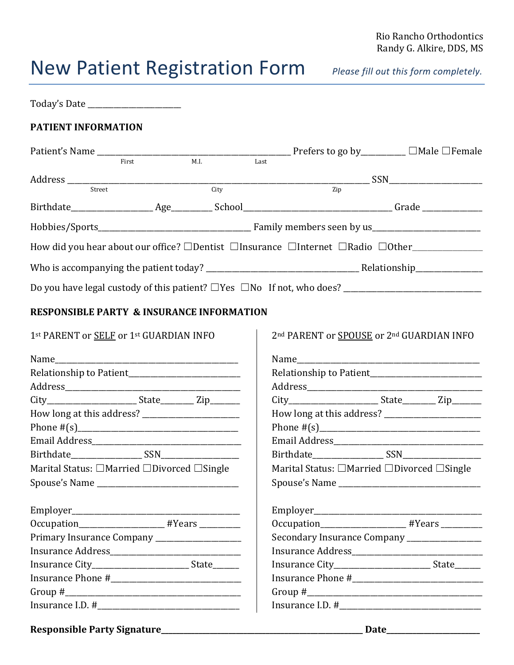## Rio Rancho Orthodontics Randy G. Alkire, DDS, MS

## New Patient Registration Form *Please fill out this form completely.*

| Today's Date ______________________                          |       |      |      |                                                                                               |  |  |
|--------------------------------------------------------------|-------|------|------|-----------------------------------------------------------------------------------------------|--|--|
| PATIENT INFORMATION                                          |       |      |      |                                                                                               |  |  |
|                                                              |       |      |      |                                                                                               |  |  |
|                                                              | First | M.I. | Last |                                                                                               |  |  |
|                                                              |       |      |      |                                                                                               |  |  |
|                                                              |       | City |      |                                                                                               |  |  |
|                                                              |       |      |      |                                                                                               |  |  |
|                                                              |       |      |      |                                                                                               |  |  |
|                                                              |       |      |      | How did you hear about our office? □Dentist □Insurance □Internet □Radio □Other_______________ |  |  |
|                                                              |       |      |      |                                                                                               |  |  |
|                                                              |       |      |      |                                                                                               |  |  |
| <b>RESPONSIBLE PARTY &amp; INSURANCE INFORMATION</b>         |       |      |      |                                                                                               |  |  |
| 1st PARENT or SELF or 1st GUARDIAN INFO                      |       |      |      | 2nd PARENT or SPOUSE or 2nd GUARDIAN INFO                                                     |  |  |
|                                                              |       |      |      |                                                                                               |  |  |
|                                                              |       |      |      |                                                                                               |  |  |
|                                                              |       |      |      |                                                                                               |  |  |
|                                                              |       |      |      |                                                                                               |  |  |
|                                                              |       |      |      |                                                                                               |  |  |
|                                                              |       |      |      |                                                                                               |  |  |
|                                                              |       |      |      |                                                                                               |  |  |
|                                                              |       |      |      |                                                                                               |  |  |
| Marital Status: $\Box$ Married $\Box$ Divorced $\Box$ Single |       |      |      | Marital Status: $\Box$ Married $\Box$ Divorced $\Box$ Single                                  |  |  |
|                                                              |       |      |      |                                                                                               |  |  |
|                                                              |       |      |      |                                                                                               |  |  |
| Occupation_________________________ #Years __________        |       |      |      | Occupation______________________ #Years _________                                             |  |  |
| Primary Insurance Company ____________________               |       |      |      | Secondary Insurance Company ________________                                                  |  |  |
|                                                              |       |      |      |                                                                                               |  |  |
|                                                              |       |      |      |                                                                                               |  |  |
|                                                              |       |      |      |                                                                                               |  |  |
|                                                              |       |      |      |                                                                                               |  |  |
|                                                              |       |      |      |                                                                                               |  |  |

**Responsible Party Signature\_\_\_\_\_\_\_\_\_\_\_\_\_\_\_\_\_\_\_\_\_\_\_\_\_\_\_\_\_\_\_\_\_\_\_\_\_\_\_\_\_\_\_\_\_\_\_\_\_\_\_\_\_\_ Date\_\_\_\_\_\_\_\_\_\_\_\_\_\_\_\_\_\_\_\_\_\_\_\_\_**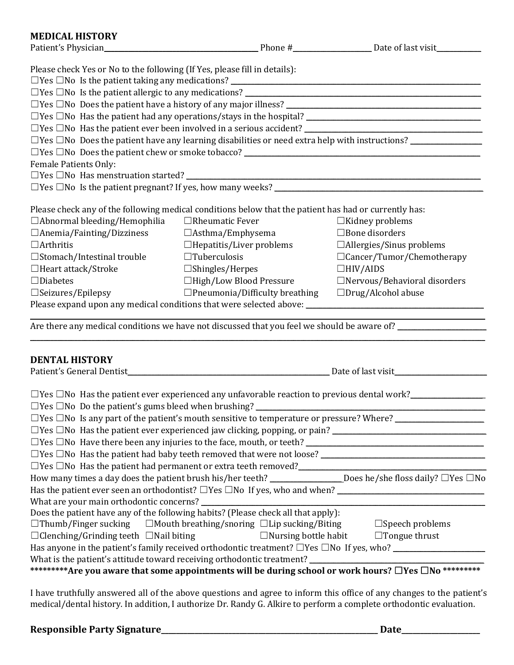## **MEDICAL HISTORY**

| <b>MEDICAL HISTORY</b>                                                    |                                                                                                                               |                                                                                                                                                                                                                                |
|---------------------------------------------------------------------------|-------------------------------------------------------------------------------------------------------------------------------|--------------------------------------------------------------------------------------------------------------------------------------------------------------------------------------------------------------------------------|
|                                                                           |                                                                                                                               | Patient's Physician Patient's Physician Patient's Physician Patient's Physician Patient's Physician Patient's Physician Patient's Physician Patient's Physician Patient's Physician Patient's Physician Patient's Physician Pa |
| Please check Yes or No to the following (If Yes, please fill in details): |                                                                                                                               |                                                                                                                                                                                                                                |
|                                                                           |                                                                                                                               |                                                                                                                                                                                                                                |
|                                                                           |                                                                                                                               |                                                                                                                                                                                                                                |
|                                                                           |                                                                                                                               |                                                                                                                                                                                                                                |
|                                                                           |                                                                                                                               |                                                                                                                                                                                                                                |
|                                                                           |                                                                                                                               |                                                                                                                                                                                                                                |
|                                                                           |                                                                                                                               | $\Box$ Yes $\Box$ No Does the patient have any learning disabilities or need extra help with instructions? $\Box$                                                                                                              |
|                                                                           |                                                                                                                               |                                                                                                                                                                                                                                |
| Female Patients Only:                                                     |                                                                                                                               |                                                                                                                                                                                                                                |
|                                                                           |                                                                                                                               |                                                                                                                                                                                                                                |
|                                                                           |                                                                                                                               |                                                                                                                                                                                                                                |
|                                                                           |                                                                                                                               |                                                                                                                                                                                                                                |
|                                                                           | Please check any of the following medical conditions below that the patient has had or currently has:                         |                                                                                                                                                                                                                                |
| $\Box$ Abnormal bleeding/Hemophilia                                       | $\Box$ Rheumatic Fever                                                                                                        | $\Box$ Kidney problems                                                                                                                                                                                                         |
| $\Box$ Anemia/Fainting/Dizziness                                          | $\Box$ Asthma/Emphysema                                                                                                       | $\Box$ Bone disorders                                                                                                                                                                                                          |
| $\Box$ Arthritis                                                          | $\Box$ Hepatitis/Liver problems                                                                                               | $\Box$ Allergies/Sinus problems                                                                                                                                                                                                |
| $\square$ Stomach/Intestinal trouble                                      | $\Box$ Tuberculosis                                                                                                           | $\Box$ Cancer/Tumor/Chemotherapy                                                                                                                                                                                               |
| $\Box$ Heart attack/Stroke                                                | $\square$ Shingles/Herpes                                                                                                     | $\Box$ HIV/AIDS                                                                                                                                                                                                                |
| $\Box$ Diabetes                                                           | □High/Low Blood Pressure                                                                                                      | □Nervous/Behavioral disorders                                                                                                                                                                                                  |
| $\square$ Seizures/Epilepsy                                               | $\Box$ Pneumonia/Difficulty breathing                                                                                         | $\square$ Drug/Alcohol abuse                                                                                                                                                                                                   |
|                                                                           |                                                                                                                               |                                                                                                                                                                                                                                |
|                                                                           |                                                                                                                               |                                                                                                                                                                                                                                |
|                                                                           |                                                                                                                               | Are there any medical conditions we have not discussed that you feel we should be aware of?                                                                                                                                    |
|                                                                           |                                                                                                                               |                                                                                                                                                                                                                                |
| <b>DENTAL HISTORY</b>                                                     |                                                                                                                               |                                                                                                                                                                                                                                |
|                                                                           |                                                                                                                               |                                                                                                                                                                                                                                |
|                                                                           |                                                                                                                               |                                                                                                                                                                                                                                |
|                                                                           |                                                                                                                               | $\Box$ Yes $\Box$ No Has the patient ever experienced any unfavorable reaction to previous dental work?                                                                                                                        |
| $\Box$ Yes $\Box$ No Do the patient's gums bleed when brushing?           |                                                                                                                               |                                                                                                                                                                                                                                |
|                                                                           |                                                                                                                               |                                                                                                                                                                                                                                |
|                                                                           |                                                                                                                               |                                                                                                                                                                                                                                |
|                                                                           |                                                                                                                               |                                                                                                                                                                                                                                |
|                                                                           |                                                                                                                               |                                                                                                                                                                                                                                |
|                                                                           |                                                                                                                               |                                                                                                                                                                                                                                |
|                                                                           |                                                                                                                               | How many times a day does the patient brush his/her teeth? _________________Does he/she floss daily? □Yes □No                                                                                                                  |
|                                                                           |                                                                                                                               | Has the patient ever seen an orthodontist? $\Box$ Yes $\Box$ No If yes, who and when? $\Box$                                                                                                                                   |
|                                                                           | What are your main orthodontic concerns?<br>Does the patient have any of the following habits? (Please check all that apply): |                                                                                                                                                                                                                                |
|                                                                           |                                                                                                                               |                                                                                                                                                                                                                                |
|                                                                           | $\Box$ Thumb/Finger sucking $\Box$ Mouth breathing/snoring $\Box$ Lip sucking/Biting                                          | $\Box$ Speech problems                                                                                                                                                                                                         |
| $\Box$ Clenching/Grinding teeth $\Box$ Nail biting                        | $\Box$ Nursing bottle habit                                                                                                   | $\Box$ Tongue thrust                                                                                                                                                                                                           |
|                                                                           | Has anyone in the patient's family received orthodontic treatment? $\Box$ Yes $\Box$ No If yes, who?                          |                                                                                                                                                                                                                                |

What is the patient's attitude toward receiving orthodontic treatment? \_\_\_\_\_\_\_\_\_\_\_\_\_\_\_\_\_\_\_\_\_\_\_\_\_\_\_\_\_\_\_\_\_\_\_\_\_\_\_\_\_\_\_\_\_\_\_\_\_\_\_

**\*\*\*\*\*\*\*\*\*Are you aware that some appointments will be during school or work hours?** ☐**Yes** ☐**No \*\*\*\*\*\*\*\*\*** 

I have truthfully answered all of the above questions and agree to inform this office of any changes to the patient's medical/dental history. In addition, I authorize Dr. Randy G. Alkire to perform a complete orthodontic evaluation.

## **Responsible Party Signature\_\_\_\_\_\_\_\_\_\_\_\_\_\_\_\_\_\_\_\_\_\_\_\_\_\_\_\_\_\_\_\_\_\_\_\_\_\_\_\_\_\_\_\_\_\_\_\_\_\_\_\_\_\_\_\_\_\_ Date\_\_\_\_\_\_\_\_\_\_\_\_\_\_\_\_\_\_\_\_\_**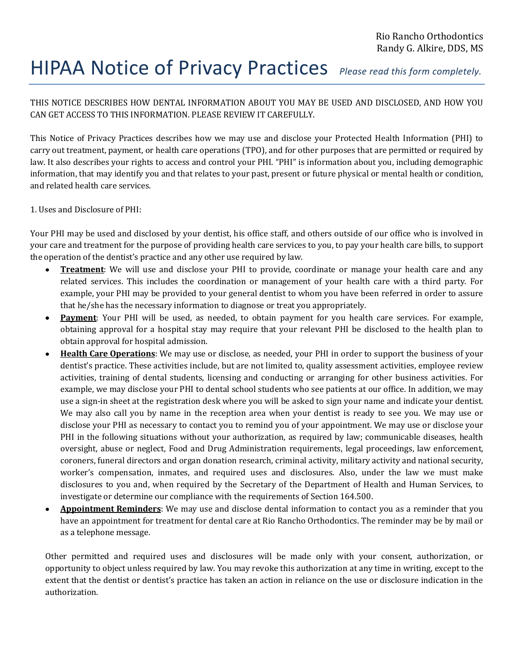# HIPAA Notice of Privacy Practices *Please read this form completely.*

THIS NOTICE DESCRIBES HOW DENTAL INFORMATION ABOUT YOU MAY BE USED AND DISCLOSED, AND HOW YOU CAN GET ACCESS TO THIS INFORMATION. PLEASE REVIEW IT CAREFULLY.

This Notice of Privacy Practices describes how we may use and disclose your Protected Health Information (PHI) to carry out treatment, payment, or health care operations (TPO), and for other purposes that are permitted or required by law. It also describes your rights to access and control your PHI. "PHI" is information about you, including demographic information, that may identify you and that relates to your past, present or future physical or mental health or condition, and related health care services.

## 1. Uses and Disclosure of PHI:

Your PHI may be used and disclosed by your dentist, his office staff, and others outside of our office who is involved in your care and treatment for the purpose of providing health care services to you, to pay your health care bills, to support the operation of the dentist's practice and any other use required by law.

- **Treatment**: We will use and disclose your PHI to provide, coordinate or manage your health care and any related services. This includes the coordination or management of your health care with a third party. For example, your PHI may be provided to your general dentist to whom you have been referred in order to assure that he/she has the necessary information to diagnose or treat you appropriately.
- **Payment**: Your PHI will be used, as needed, to obtain payment for you health care services. For example,  $\bullet$ obtaining approval for a hospital stay may require that your relevant PHI be disclosed to the health plan to obtain approval for hospital admission.
- **Health Care Operations**: We may use or disclose, as needed, your PHI in order to support the business of your dentist's practice. These activities include, but are not limited to, quality assessment activities, employee review activities, training of dental students, licensing and conducting or arranging for other business activities. For example, we may disclose your PHI to dental school students who see patients at our office. In addition, we may use a sign-in sheet at the registration desk where you will be asked to sign your name and indicate your dentist. We may also call you by name in the reception area when your dentist is ready to see you. We may use or disclose your PHI as necessary to contact you to remind you of your appointment. We may use or disclose your PHI in the following situations without your authorization, as required by law; communicable diseases, health oversight, abuse or neglect, Food and Drug Administration requirements, legal proceedings, law enforcement, coroners, funeral directors and organ donation research, criminal activity, military activity and national security, worker's compensation, inmates, and required uses and disclosures. Also, under the law we must make disclosures to you and, when required by the Secretary of the Department of Health and Human Services, to investigate or determine our compliance with the requirements of Section 164.500.
- **Appointment Reminders**: We may use and disclose dental information to contact you as a reminder that you have an appointment for treatment for dental care at Rio Rancho Orthodontics. The reminder may be by mail or as a telephone message.

Other permitted and required uses and disclosures will be made only with your consent, authorization, or opportunity to object unless required by law. You may revoke this authorization at any time in writing, except to the extent that the dentist or dentist's practice has taken an action in reliance on the use or disclosure indication in the authorization.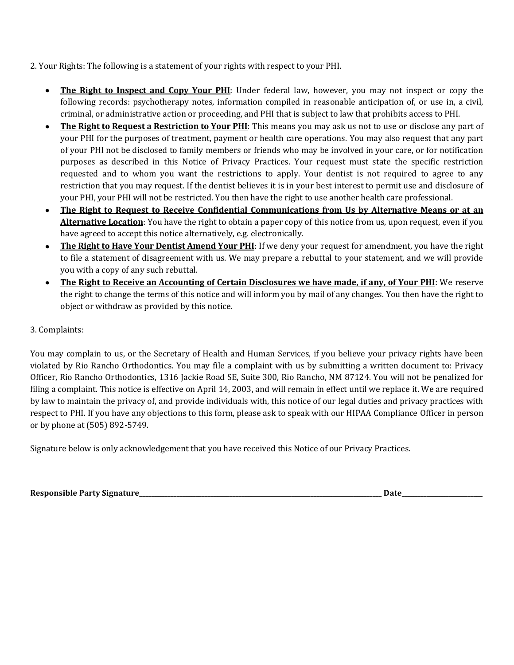2. Your Rights: The following is a statement of your rights with respect to your PHI.

- **The Right to Inspect and Copy Your PHI**: Under federal law, however, you may not inspect or copy the  $\bullet$ following records: psychotherapy notes, information compiled in reasonable anticipation of, or use in, a civil, criminal, or administrative action or proceeding, and PHI that is subject to law that prohibits access to PHI.
- **The Right to Request a Restriction to Your PHI**: This means you may ask us not to use or disclose any part of your PHI for the purposes of treatment, payment or health care operations. You may also request that any part of your PHI not be disclosed to family members or friends who may be involved in your care, or for notification purposes as described in this Notice of Privacy Practices. Your request must state the specific restriction requested and to whom you want the restrictions to apply. Your dentist is not required to agree to any restriction that you may request. If the dentist believes it is in your best interest to permit use and disclosure of your PHI, your PHI will not be restricted. You then have the right to use another health care professional.
- **The Right to Request to Receive Confidential Communications from Us by Alternative Means or at an**   $\bullet$ **Alternative Location**: You have the right to obtain a paper copy of this notice from us, upon request, even if you have agreed to accept this notice alternatively, e.g. electronically.
- **The Right to Have Your Dentist Amend Your PHI**: If we deny your request for amendment, you have the right  $\bullet$ to file a statement of disagreement with us. We may prepare a rebuttal to your statement, and we will provide you with a copy of any such rebuttal.
- **The Right to Receive an Accounting of Certain Disclosures we have made, if any, of Your PHI**: We reserve the right to change the terms of this notice and will inform you by mail of any changes. You then have the right to object or withdraw as provided by this notice.

## 3. Complaints:

You may complain to us, or the Secretary of Health and Human Services, if you believe your privacy rights have been violated by Rio Rancho Orthodontics. You may file a complaint with us by submitting a written document to: Privacy Officer, Rio Rancho Orthodontics, 1316 Jackie Road SE, Suite 300, Rio Rancho, NM 87124. You will not be penalized for filing a complaint. This notice is effective on April 14, 2003, and will remain in effect until we replace it. We are required by law to maintain the privacy of, and provide individuals with, this notice of our legal duties and privacy practices with respect to PHI. If you have any objections to this form, please ask to speak with our HIPAA Compliance Officer in person or by phone at (505) 892-5749.

Signature below is only acknowledgement that you have received this Notice of our Privacy Practices.

**Responsible Party Signature**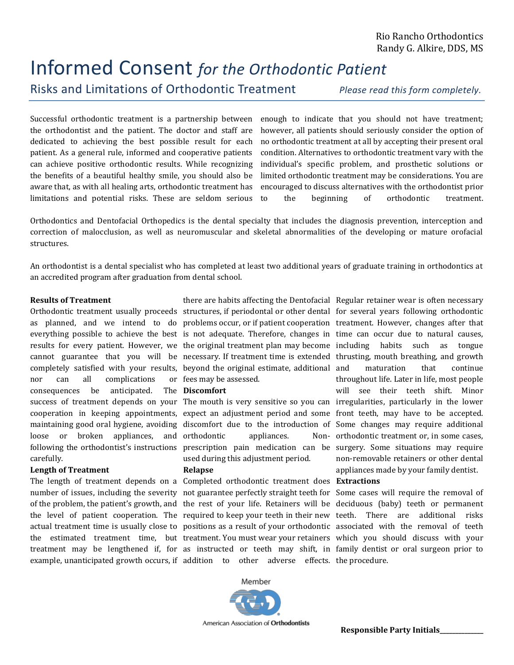# Informed Consent *for the Orthodontic Patient* Risks and Limitations of Orthodontic Treatment *Please read this form completely.*

Successful orthodontic treatment is a partnership between the orthodontist and the patient. The doctor and staff are dedicated to achieving the best possible result for each patient. As a general rule, informed and cooperative patients can achieve positive orthodontic results. While recognizing the benefits of a beautiful healthy smile, you should also be aware that, as with all healing arts, orthodontic treatment has limitations and potential risks. These are seldom serious

enough to indicate that you should not have treatment; however, all patients should seriously consider the option of no orthodontic treatment at all by accepting their present oral condition. Alternatives to orthodontic treatment vary with the individual's specific problem, and prosthetic solutions or limited orthodontic treatment may be considerations. You are encouraged to discuss alternatives with the orthodontist prior to the beginning of orthodontic treatment.

Orthodontics and Dentofacial Orthopedics is the dental specialty that includes the diagnosis prevention, interception and correction of malocclusion, as well as neuromuscular and skeletal abnormalities of the developing or mature orofacial structures.

An orthodontist is a dental specialist who has completed at least two additional years of graduate training in orthodontics at an accredited program after graduation from dental school.

#### **Results of Treatment**

results for every patient. However, we completely satisfied with your results, nor can all complications or consequences be anticipated. loose or broken appliances, following the orthodontist's instructions carefully.

#### **Length of Treatment**

Orthodontic treatment usually proceeds structures, if periodontal or other dental for several years following orthodontic as planned, and we intend to do problems occur, or if patient cooperation treatment. However, changes after that everything possible to achieve the best is not adequate. Therefore, changes in time can occur due to natural causes, cannot guarantee that you will be necessary. If treatment time is extended thrusting, mouth breathing, and growth there are habits affecting the Dentofacial Regular retainer wear is often necessary the original treatment plan may become beyond the original estimate, additional fees may be assessed.

#### The **Discomfort**

success of treatment depends on your The mouth is very sensitive so you can irregularities, particularly in the lower cooperation in keeping appointments, expect an adjustment period and some front teeth, may have to be accepted. maintaining good oral hygiene, avoiding discomfort due to the introduction of Some changes may require additional and orthodontic appliances. prescription pain medication can be surgery. Some situations may require used during this adjustment period.

## **Relapse**

The length of treatment depends on a Completed orthodontic treatment does **Extractions** number of issues, including the severity not guarantee perfectly straight teeth for Some cases will require the removal of of the problem, the patient's growth, and the rest of your life. Retainers will be deciduous (baby) teeth or permanent the level of patient cooperation. The required to keep your teeth in their new teeth. There are additional risks actual treatment time is usually close to positions as a result of your orthodontic associated with the removal of teeth the estimated treatment time, but treatment. You must wear your retainers which you should discuss with your treatment may be lengthened if, for as instructed or teeth may shift, in family dentist or oral surgeon prior to example, unanticipated growth occurs, if addition to other adverse effects. the procedure.

habits such as tongue maturation that continue throughout life. Later in life, most people will see their teeth shift. Minor Non- orthodontic treatment or, in some cases, non-removable retainers or other dental appliances made by your family dentist.

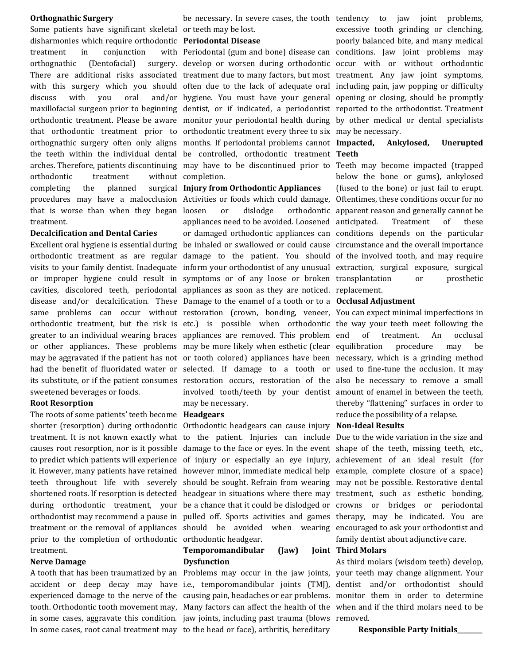#### **Orthognathic Surgery**

Some patients have significant skeletal or teeth may be lost. disharmonies which require orthodontic **Periodontal Disease** treatment in conjunction orthognathic (Dentofacial) discuss with you oral that orthodontic treatment prior to orthodontic treatment every three to six may be necessary. orthognathic surgery often only aligns months. If periodontal problems cannot Impacted, Ankylosed, Unerupted the teeth within the individual dental be controlled, orthodontic treatment **Teeth** arches. Therefore, patients discontinuing may have to be discontinued prior to Teeth may become impacted (trapped orthodontic treatment completing the planned procedures may have a malocclusion Activities or foods which could damage, Oftentimes, these conditions occur for no that is worse than when they began treatment.

#### **Decalcification and Dental Caries**

sweetened beverages or foods.

#### **Root Resorption**

The roots of some patients' teeth become **Headgears** shorter (resorption) during orthodontic Orthodontic headgears can cause injury **Non-Ideal Results** prior to the completion of orthodontic orthodontic headgear. treatment.

#### **Nerve Damage**

in some cases, aggravate this condition. jaw joints, including past trauma (blows removed. In some cases, root canal treatment may to the head or face), arthritis, hereditary

without completion.

#### **Injury from Orthodontic Appliances**

Excellent oral hygiene is essential during be inhaled or swallowed or could cause circumstance and the overall importance orthodontic treatment as are regular damage to the patient. You should of the involved tooth, and may require visits to your family dentist. Inadequate inform your orthodontist of any unusual extraction, surgical exposure, surgical or improper hygiene could result in symptoms or of any loose or broken transplantation or prosthetic cavities, discolored teeth, periodontal appliances as soon as they are noticed. replacement. disease and/or decalcification. These Damage to the enamel of a tooth or to a **Occlusal Adjustment** same problems can occur without restoration (crown, bonding, veneer, You can expect minimal imperfections in orthodontic treatment, but the risk is etc.) is possible when orthodontic the way your teeth meet following the greater to an individual wearing braces appliances are removed. This problem or other appliances. These problems may be more likely when esthetic (clear equilibration procedure may be may be aggravated if the patient has not or tooth colored) appliances have been necessary, which is a grinding method had the benefit of fluoridated water or selected. If damage to a tooth or used to fine-tune the occlusion. It may its substitute, or if the patient consumes restoration occurs, restoration of the also be necessary to remove a small loosen or dislodge orthodontic apparent reason and generally cannot be appliances need to be avoided. Loosened or damaged orthodontic appliances can conditions depends on the particular involved tooth/teeth by your dentist amount of enamel in between the teeth, may be necessary.

treatment. It is not known exactly what to the patient. Injuries can include Due to the wide variation in the size and causes root resorption, nor is it possible damage to the face or eyes. In the event shape of the teeth, missing teeth, etc., to predict which patients will experience of injury or especially an eye injury, achievement of an ideal result (for it. However, many patients have retained however minor, immediate medical help example, complete closure of a space) teeth throughout life with severely should be sought. Refrain from wearing may not be possible. Restorative dental shortened roots. If resorption is detected headgear in situations where there may treatment, such as esthetic bonding, during orthodontic treatment, your be a chance that it could be dislodged or crowns or bridges or periodontal orthodontist may recommend a pause in pulled off. Sports activities and games therapy, may be indicated. You are treatment or the removal of appliances should be avoided when wearing encouraged to ask your orthodontist and

#### **Temporomandibular (Jaw) Dysfunction**

There are additional risks associated treatment due to many factors, but most treatment. Any jaw joint symptoms, with this surgery which you should often due to the lack of adequate oral including pain, jaw popping or difficulty maxillofacial surgeon prior to beginning dentist, or if indicated, a periodontist reported to the orthodontist. Treatment orthodontic treatment. Please be aware monitor your periodontal health during by other medical or dental specialists be necessary. In severe cases, the tooth tendency to jaw joint problems, Periodontal (gum and bone) disease can conditions. Jaw joint problems may develop or worsen during orthodontic occur with or without orthodontic hygiene. You must have your general opening or closing, should be promptly excessive tooth grinding or clenching, poorly balanced bite, and many medical

below the bone or gums), ankylosed (fused to the bone) or just fail to erupt. Treatment of these

of treatment. An occlusal thereby "flattening" surfaces in order to reduce the possibility of a relapse.

family dentist about adjunctive care.

#### **Third Molars**

A tooth that has been traumatized by an Problems may occur in the jaw joints, your teeth may change alignment. Your accident or deep decay may have i.e., temporomandibular joints (TMJ), dentist and/or orthodontist should experienced damage to the nerve of the causing pain, headaches or ear problems. monitor them in order to determine tooth. Orthodontic tooth movement may, Many factors can affect the health of the when and if the third molars need to be As third molars (wisdom teeth) develop,

 **Responsible Party Initials\_\_\_\_\_\_\_\_**